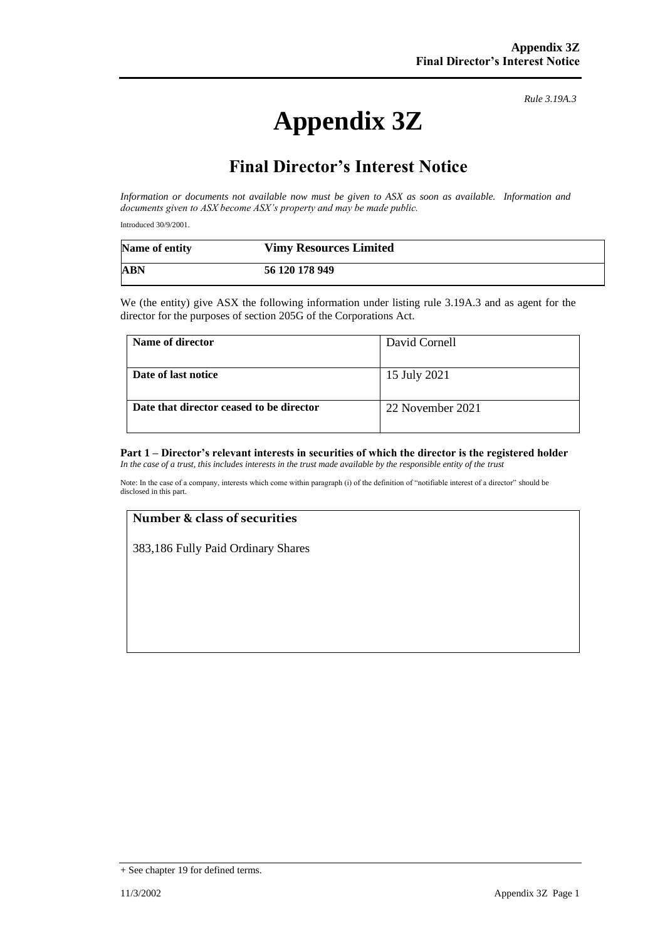# **Appendix 3Z**

*Rule 3.19A.3*

## **Final Director's Interest Notice**

*Information or documents not available now must be given to ASX as soon as available. Information and documents given to ASX become ASX's property and may be made public.*

Introduced 30/9/2001.

| Name of entity | <b>Vimy Resources Limited</b> |
|----------------|-------------------------------|
| ABN            | 56 120 178 949                |

We (the entity) give ASX the following information under listing rule 3.19A.3 and as agent for the director for the purposes of section 205G of the Corporations Act.

| Name of director                         | David Cornell    |
|------------------------------------------|------------------|
| Date of last notice                      | 15 July 2021     |
| Date that director ceased to be director | 22 November 2021 |

### **Part 1 – Director's relevant interests in securities of which the director is the registered holder**

*In the case of a trust, this includes interests in the trust made available by the responsible entity of the trust*

Note: In the case of a company, interests which come within paragraph (i) of the definition of "notifiable interest of a director" should be disclosed in this part.

#### **Number & class of securities**

383,186 Fully Paid Ordinary Shares

<sup>+</sup> See chapter 19 for defined terms.